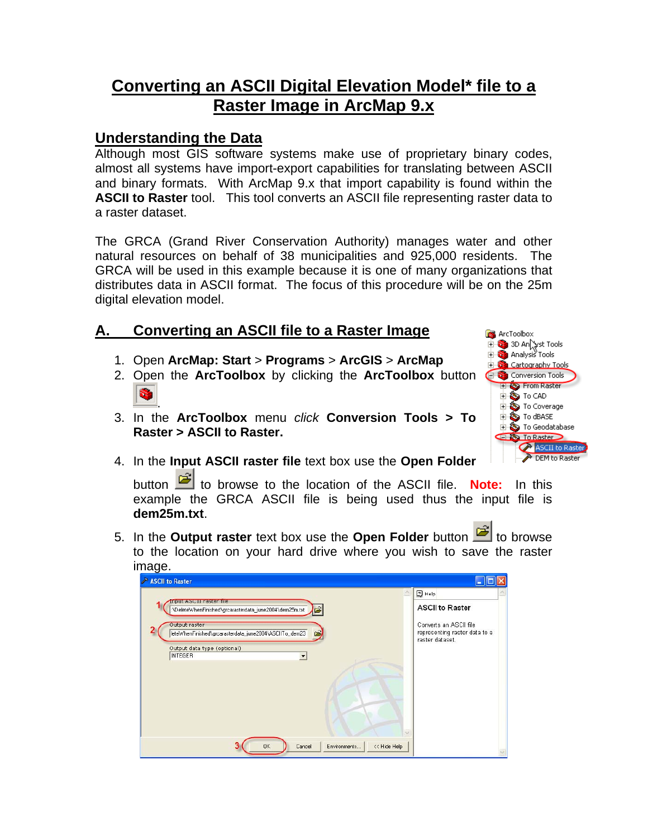## **Converting an ASCII Digital Elevation Model\* file to a Raster Image in ArcMap 9.x**

## **Understanding the Data**

Although most GIS software systems make use of proprietary binary codes, almost all systems have import-export capabilities for translating between ASCII and binary formats. With ArcMap 9.x that import capability is found within the **ASCII to Raster** tool. This tool converts an ASCII file representing raster data to a raster dataset.

The GRCA (Grand River Conservation Authority) manages water and other natural resources on behalf of 38 municipalities and 925,000 residents. The GRCA will be used in this example because it is one of many organizations that distributes data in ASCII format. The focus of this procedure will be on the 25m digital elevation model.

## **A. Converting an ASCII file to a Raster Image**

- 1. Open **ArcMap: Start** > **Programs** > **ArcGIS** > **ArcMap**
- 2. Open the **ArcToolbox** by clicking the **ArcToolbox** button .
- 3. In the **ArcToolbox** menu *click* **Conversion Tools > To Raster > ASCII to Raster.**



4. In the **Input ASCII raster file** text box use the **Open Folder**

button to browse to the location of the ASCII file. **Note:** In this example the GRCA ASCII file is being used thus the input file is **dem25m.txt**.

5. In the **Output raster** text box use the **Open Folder** button to browse to the location on your hard drive where you wish to save the raster image

| ASCII to Raster                                                                         |                                                                            |
|-----------------------------------------------------------------------------------------|----------------------------------------------------------------------------|
|                                                                                         | $\Box$ Help                                                                |
| input ASCII raster file<br>\DeleteWhenFinished\grcarasterdata_june2004\dem25m.txt<br>户  | <b>ASCII to Raster</b>                                                     |
| Output raster<br>leteWhenFinished\grcarasterdata_june2004\ASCIITo_dem23<br>$\mathbf{c}$ | Converts an ASCII file<br>representing raster data to a<br>raster dataset. |
| Output data type (optional)<br><b>INTEGER</b><br>$\blacktriangledown$                   |                                                                            |
|                                                                                         |                                                                            |
|                                                                                         |                                                                            |
|                                                                                         |                                                                            |
|                                                                                         |                                                                            |
| <b>OK</b><br><< Hide Help<br>Cancel<br>Environments                                     |                                                                            |